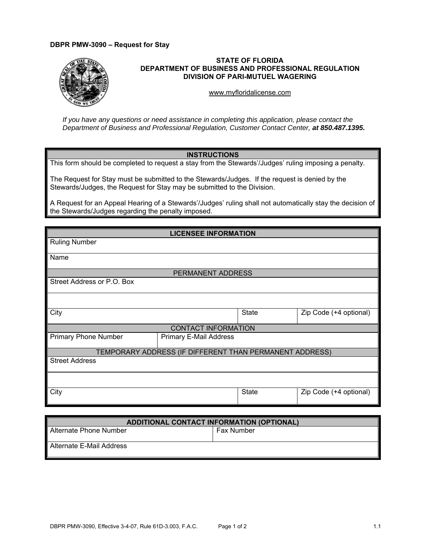## **DBPR PMW-3090 – Request for Stay**



## **STATE OF FLORIDA DEPARTMENT OF BUSINESS AND PROFESSIONAL REGULATION DIVISION OF PARI-MUTUEL WAGERING**

<www.myfloridalicense.com>

*If you have any questions or need assistance in completing this application, please contact the Department of Business and Professional Regulation, Customer Contact Center, at 850.487.1395.* 

## **INSTRUCTIONS**

This form should be completed to request a stay from the Stewards'/Judges' ruling imposing a penalty.

The Request for Stay must be submitted to the Stewards/Judges. If the request is denied by the Stewards/Judges, the Request for Stay may be submitted to the Division.

A Request for an Appeal Hearing of a Stewards'/Judges' ruling shall not automatically stay the decision of the Stewards/Judges regarding the penalty imposed.

| <b>LICENSEE INFORMATION</b>                             |                               |              |                        |  |  |
|---------------------------------------------------------|-------------------------------|--------------|------------------------|--|--|
| <b>Ruling Number</b>                                    |                               |              |                        |  |  |
| Name                                                    |                               |              |                        |  |  |
| PERMANENT ADDRESS                                       |                               |              |                        |  |  |
| Street Address or P.O. Box                              |                               |              |                        |  |  |
|                                                         |                               |              |                        |  |  |
| City                                                    |                               | <b>State</b> | Zip Code (+4 optional) |  |  |
| <b>CONTACT INFORMATION</b>                              |                               |              |                        |  |  |
| <b>Primary Phone Number</b>                             | <b>Primary E-Mail Address</b> |              |                        |  |  |
| TEMPORARY ADDRESS (IF DIFFERENT THAN PERMANENT ADDRESS) |                               |              |                        |  |  |
| <b>Street Address</b>                                   |                               |              |                        |  |  |
|                                                         |                               |              |                        |  |  |
| City                                                    |                               | State        | Zip Code (+4 optional) |  |  |
|                                                         |                               |              |                        |  |  |

| <b>ADDITIONAL CONTACT INFORMATION (OPTIONAL)</b> |                   |  |  |
|--------------------------------------------------|-------------------|--|--|
| Alternate Phone Number                           | <b>Fax Number</b> |  |  |
| Alternate E-Mail Address                         |                   |  |  |